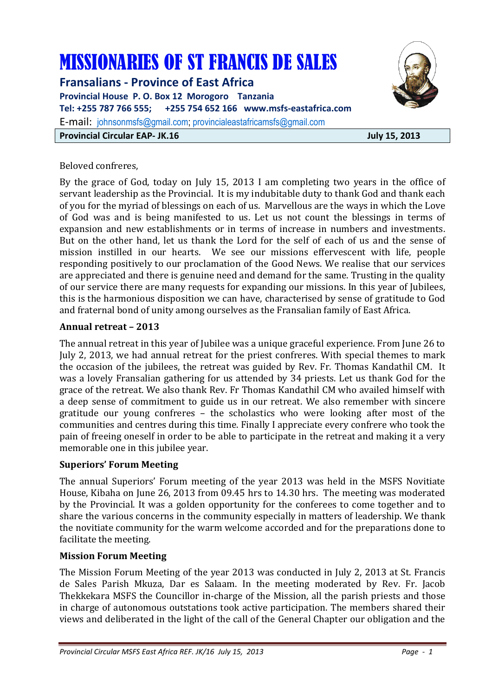# MISSIONARIES OF ST FRANCIS DE SALES

**Fransalians - Province of East Africa Provincial House P. O. Box 12 Morogoro Tanzania Tel: +255 787 766 555; +255 754 652 166 www.msfs-eastafrica.com**  E-mail: johnsonmsfs@gmail.com; provincialeastafricamsfs@gmail.com **Provincial Circular EAP- JK.16 July 15, 2013** 



#### Beloved confreres,

By the grace of God, today on July 15, 2013 I am completing two years in the office of servant leadership as the Provincial. It is my indubitable duty to thank God and thank each of you for the myriad of blessings on each of us. Marvellous are the ways in which the Love of God was and is being manifested to us. Let us not count the blessings in terms of expansion and new establishments or in terms of increase in numbers and investments. But on the other hand, let us thank the Lord for the self of each of us and the sense of mission instilled in our hearts. We see our missions effervescent with life, people responding positively to our proclamation of the Good News. We realise that our services are appreciated and there is genuine need and demand for the same. Trusting in the quality of our service there are many requests for expanding our missions. In this year of Jubilees, this is the harmonious disposition we can have, characterised by sense of gratitude to God and fraternal bond of unity among ourselves as the Fransalian family of East Africa.

## **Annual retreat – 2013**

The annual retreat in this year of Jubilee was a unique graceful experience. From June 26 to July 2, 2013, we had annual retreat for the priest confreres. With special themes to mark the occasion of the jubilees, the retreat was guided by Rev. Fr. Thomas Kandathil CM. It was a lovely Fransalian gathering for us attended by 34 priests. Let us thank God for the grace of the retreat. We also thank Rev. Fr Thomas Kandathil CM who availed himself with a deep sense of commitment to guide us in our retreat. We also remember with sincere gratitude our young confreres – the scholastics who were looking after most of the communities and centres during this time. Finally I appreciate every confrere who took the pain of freeing oneself in order to be able to participate in the retreat and making it a very memorable one in this jubilee year.

#### **Superiors' Forum Meeting**

The annual Superiors' Forum meeting of the year 2013 was held in the MSFS Novitiate House, Kibaha on June 26, 2013 from 09.45 hrs to 14.30 hrs. The meeting was moderated by the Provincial. It was a golden opportunity for the conferees to come together and to share the various concerns in the community especially in matters of leadership. We thank the novitiate community for the warm welcome accorded and for the preparations done to facilitate the meeting.

#### **Mission Forum Meeting**

The Mission Forum Meeting of the year 2013 was conducted in July 2, 2013 at St. Francis de Sales Parish Mkuza, Dar es Salaam. In the meeting moderated by Rev. Fr. Jacob Thekkekara MSFS the Councillor in-charge of the Mission, all the parish priests and those in charge of autonomous outstations took active participation. The members shared their views and deliberated in the light of the call of the General Chapter our obligation and the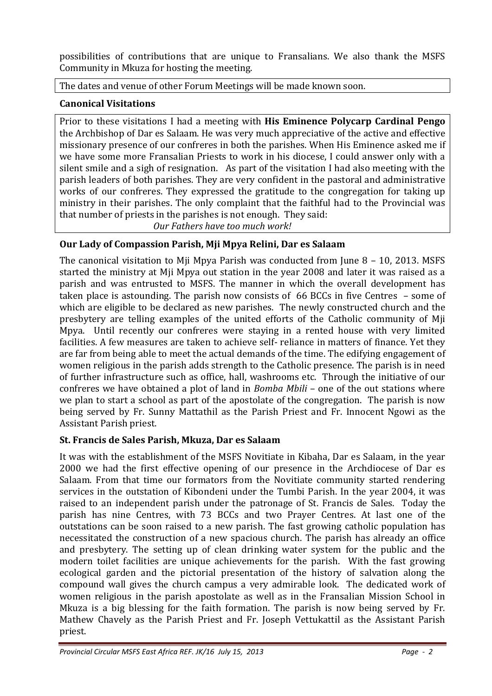possibilities of contributions that are unique to Fransalians. We also thank the MSFS Community in Mkuza for hosting the meeting.

The dates and venue of other Forum Meetings will be made known soon.

# **Canonical Visitations**

Prior to these visitations I had a meeting with **His Eminence Polycarp Cardinal Pengo** the Archbishop of Dar es Salaam. He was very much appreciative of the active and effective missionary presence of our confreres in both the parishes. When His Eminence asked me if we have some more Fransalian Priests to work in his diocese, I could answer only with a silent smile and a sigh of resignation. As part of the visitation I had also meeting with the parish leaders of both parishes. They are very confident in the pastoral and administrative works of our confreres. They expressed the gratitude to the congregation for taking up ministry in their parishes. The only complaint that the faithful had to the Provincial was that number of priests in the parishes is not enough. They said:

 *Our Fathers have too much work!* 

# **Our Lady of Compassion Parish, Mji Mpya Relini, Dar es Salaam**

The canonical visitation to Mji Mpya Parish was conducted from June 8 – 10, 2013. MSFS started the ministry at Mji Mpya out station in the year 2008 and later it was raised as a parish and was entrusted to MSFS. The manner in which the overall development has taken place is astounding. The parish now consists of 66 BCCs in five Centres – some of which are eligible to be declared as new parishes. The newly constructed church and the presbytery are telling examples of the united efforts of the Catholic community of Mji Mpya. Until recently our confreres were staying in a rented house with very limited facilities. A few measures are taken to achieve self- reliance in matters of finance. Yet they are far from being able to meet the actual demands of the time. The edifying engagement of women religious in the parish adds strength to the Catholic presence. The parish is in need of further infrastructure such as office, hall, washrooms etc. Through the initiative of our confreres we have obtained a plot of land in *Bomba Mbili* – one of the out stations where we plan to start a school as part of the apostolate of the congregation. The parish is now being served by Fr. Sunny Mattathil as the Parish Priest and Fr. Innocent Ngowi as the Assistant Parish priest.

# **St. Francis de Sales Parish, Mkuza, Dar es Salaam**

It was with the establishment of the MSFS Novitiate in Kibaha, Dar es Salaam, in the year 2000 we had the first effective opening of our presence in the Archdiocese of Dar es Salaam. From that time our formators from the Novitiate community started rendering services in the outstation of Kibondeni under the Tumbi Parish. In the year 2004, it was raised to an independent parish under the patronage of St. Francis de Sales. Today the parish has nine Centres, with 73 BCCs and two Prayer Centres. At last one of the outstations can be soon raised to a new parish. The fast growing catholic population has necessitated the construction of a new spacious church. The parish has already an office and presbytery. The setting up of clean drinking water system for the public and the modern toilet facilities are unique achievements for the parish. With the fast growing ecological garden and the pictorial presentation of the history of salvation along the compound wall gives the church campus a very admirable look. The dedicated work of women religious in the parish apostolate as well as in the Fransalian Mission School in Mkuza is a big blessing for the faith formation. The parish is now being served by Fr. Mathew Chavely as the Parish Priest and Fr. Joseph Vettukattil as the Assistant Parish priest.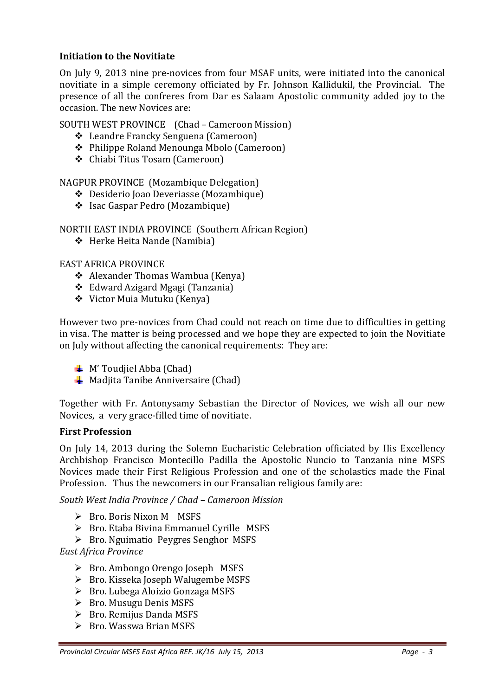## **Initiation to the Novitiate**

On July 9, 2013 nine pre-novices from four MSAF units, were initiated into the canonical novitiate in a simple ceremony officiated by Fr. Johnson Kallidukil, the Provincial. The presence of all the confreres from Dar es Salaam Apostolic community added joy to the occasion. The new Novices are:

SOUTH WEST PROVINCE (Chad – Cameroon Mission)

- Leandre Francky Senguena (Cameroon)
- Philippe Roland Menounga Mbolo (Cameroon)
- Chiabi Titus Tosam (Cameroon)

NAGPUR PROVINCE (Mozambique Delegation)

- Desiderio Joao Deveriasse (Mozambique)
- Isac Gaspar Pedro (Mozambique)

NORTH EAST INDIA PROVINCE (Southern African Region)

Herke Heita Nande (Namibia)

#### EAST AFRICA PROVINCE

- Alexander Thomas Wambua (Kenya)
- Edward Azigard Mgagi (Tanzania)
- Victor Muia Mutuku (Kenya)

However two pre-novices from Chad could not reach on time due to difficulties in getting in visa. The matter is being processed and we hope they are expected to join the Novitiate on July without affecting the canonical requirements: They are:

- $\blacksquare$  M' Toudjiel Abba (Chad)
- $\frac{1}{\sqrt{2}}$  Madjita Tanibe Anniversaire (Chad)

Together with Fr. Antonysamy Sebastian the Director of Novices, we wish all our new Novices, a very grace-filled time of novitiate.

#### **First Profession**

On July 14, 2013 during the Solemn Eucharistic Celebration officiated by His Excellency Archbishop Francisco Montecillo Padilla the Apostolic Nuncio to Tanzania nine MSFS Novices made their First Religious Profession and one of the scholastics made the Final Profession. Thus the newcomers in our Fransalian religious family are:

*South West India Province / Chad – Cameroon Mission* 

- ▶ Bro. Boris Nixon M MSFS
- > Bro. Etaba Bivina Emmanuel Cyrille MSFS
- > Bro. Nguimatio Peygres Senghor MSFS

*East Africa Province* 

- > Bro. Ambongo Orengo Joseph MSFS
- > Bro. Kisseka Joseph Walugembe MSFS
- > Bro. Lubega Aloizio Gonzaga MSFS
- ▶ Bro. Musugu Denis MSFS
- ► Bro. Remijus Danda MSFS
- Bro. Wasswa Brian MSFS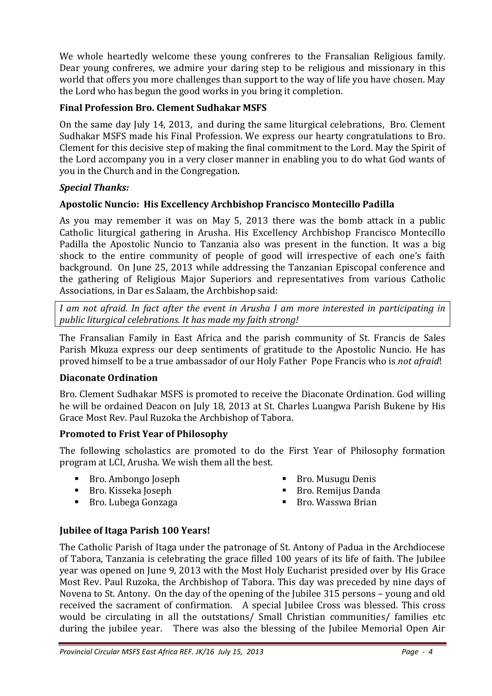We whole heartedly welcome these young confreres to the Fransalian Religious family. Dear young confreres, we admire your daring step to be religious and missionary in this world that offers you more challenges than support to the way of life you have chosen. May the Lord who has begun the good works in you bring it completion.

# **Final Profession Bro. Clement Sudhakar MSFS**

On the same day July 14, 2013, and during the same liturgical celebrations, Bro. Clement Sudhakar MSFS made his Final Profession. We express our hearty congratulations to Bro. Clement for this decisive step of making the final commitment to the Lord. May the Spirit of the Lord accompany you in a very closer manner in enabling you to do what God wants of you in the Church and in the Congregation.

## *Special Thanks:*

## **Apostolic Nuncio: His Excellency Archbishop Francisco Montecillo Padilla**

As you may remember it was on May 5, 2013 there was the bomb attack in a public Catholic liturgical gathering in Arusha. His Excellency Archbishop Francisco Montecillo Padilla the Apostolic Nuncio to Tanzania also was present in the function. It was a big shock to the entire community of people of good will irrespective of each one's faith background. On June 25, 2013 while addressing the Tanzanian Episcopal conference and the gathering of Religious Major Superiors and representatives from various Catholic Associations, in Dar es Salaam, the Archbishop said:

*I am not afraid. In fact after the event in Arusha I am more interested in participating in public liturgical celebrations. It has made my faith strong!* 

The Fransalian Family in East Africa and the parish community of St. Francis de Sales Parish Mkuza express our deep sentiments of gratitude to the Apostolic Nuncio. He has proved himself to be a true ambassador of our Holy Father Pope Francis who is *not afraid*!

#### **Diaconate Ordination**

Bro. Clement Sudhakar MSFS is promoted to receive the Diaconate Ordination. God willing he will be ordained Deacon on July 18, 2013 at St. Charles Luangwa Parish Bukene by His Grace Most Rev. Paul Ruzoka the Archbishop of Tabora.

## **Promoted to Frist Year of Philosophy**

The following scholastics are promoted to do the First Year of Philosophy formation program at LCI, Arusha. We wish them all the best.

- Bro. Ambongo Joseph
- Bro. Kisseka Joseph
- Bro. Musugu Denis
- Bro. Remijus Danda

■ Bro. Lubega Gonzaga

 $\blacksquare$  Bro. Wasswa Brian

## **Jubilee of Itaga Parish 100 Years!**

The Catholic Parish of Itaga under the patronage of St. Antony of Padua in the Archdiocese of Tabora, Tanzania is celebrating the grace filled 100 years of its life of faith. The Jubilee year was opened on June 9, 2013 with the Most Holy Eucharist presided over by His Grace Most Rev. Paul Ruzoka, the Archbishop of Tabora. This day was preceded by nine days of Novena to St. Antony. On the day of the opening of the Jubilee 315 persons – young and old received the sacrament of confirmation. A special Jubilee Cross was blessed. This cross would be circulating in all the outstations/ Small Christian communities/ families etc during the jubilee year. There was also the blessing of the Jubilee Memorial Open Air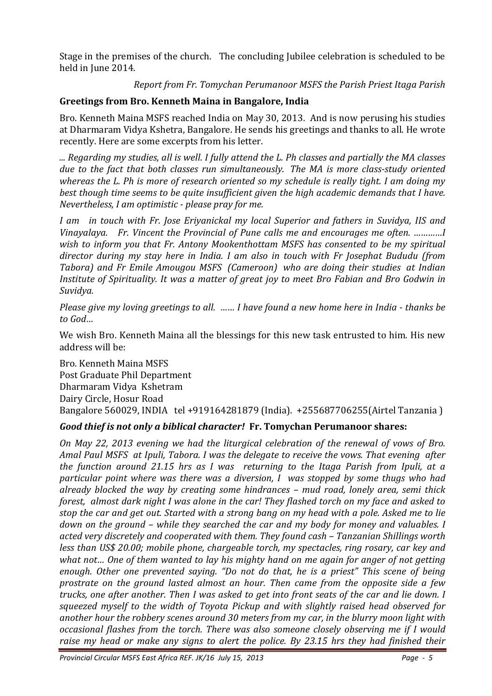Stage in the premises of the church. The concluding Jubilee celebration is scheduled to be held in June 2014.

## *Report from Fr. Tomychan Perumanoor MSFS the Parish Priest Itaga Parish*

# **Greetings from Bro. Kenneth Maina in Bangalore, India**

Bro. Kenneth Maina MSFS reached India on May 30, 2013. And is now perusing his studies at Dharmaram Vidya Kshetra, Bangalore. He sends his greetings and thanks to all. He wrote recently. Here are some excerpts from his letter.

*... Regarding my studies, all is well. I fully attend the L. Ph classes and partially the MA classes due to the fact that both classes run simultaneously. The MA is more class-study oriented whereas the L. Ph is more of research oriented so my schedule is really tight. I am doing my best though time seems to be quite insufficient given the high academic demands that I have. Nevertheless, I am optimistic - please pray for me.*

*I am in touch with Fr. Jose Eriyanickal my local Superior and fathers in Suvidya, IIS and Vinayalaya. Fr. Vincent the Provincial of Pune calls me and encourages me often. …………I wish to inform you that Fr. Antony Mookenthottam MSFS has consented to be my spiritual director during my stay here in India. I am also in touch with Fr Josephat Bududu (from Tabora) and Fr Emile Amougou MSFS (Cameroon) who are doing their studies at Indian Institute of Spirituality. It was a matter of great joy to meet Bro Fabian and Bro Godwin in Suvidya.* 

*Please give my loving greetings to all. …… I have found a new home here in India - thanks be to God…* 

We wish Bro. Kenneth Maina all the blessings for this new task entrusted to him. His new address will be:

Bro. Kenneth Maina MSFS Post Graduate Phil Department Dharmaram Vidya Kshetram Dairy Circle, Hosur Road Bangalore 560029, INDIA tel +919164281879 (India). +255687706255(Airtel Tanzania )

# *Good thief is not only a biblical character!* **Fr. Tomychan Perumanoor shares:**

*On May 22, 2013 evening we had the liturgical celebration of the renewal of vows of Bro. Amal Paul MSFS at Ipuli, Tabora. I was the delegate to receive the vows. That evening after the function around 21.15 hrs as I was returning to the Itaga Parish from Ipuli, at a particular point where was there was a diversion, I was stopped by some thugs who had already blocked the way by creating some hindrances – mud road, lonely area, semi thick forest, almost dark night I was alone in the car! They flashed torch on my face and asked to stop the car and get out. Started with a strong bang on my head with a pole. Asked me to lie down on the ground – while they searched the car and my body for money and valuables. I acted very discretely and cooperated with them. They found cash – Tanzanian Shillings worth less than US\$ 20.00; mobile phone, chargeable torch, my spectacles, ring rosary, car key and what not… One of them wanted to lay his mighty hand on me again for anger of not getting enough. Other one prevented saying. "Do not do that, he is a priest" This scene of being prostrate on the ground lasted almost an hour. Then came from the opposite side a few trucks, one after another. Then I was asked to get into front seats of the car and lie down. I squeezed myself to the width of Toyota Pickup and with slightly raised head observed for another hour the robbery scenes around 30 meters from my car, in the blurry moon light with occasional flashes from the torch. There was also someone closely observing me if I would raise my head or make any signs to alert the police. By 23.15 hrs they had finished their*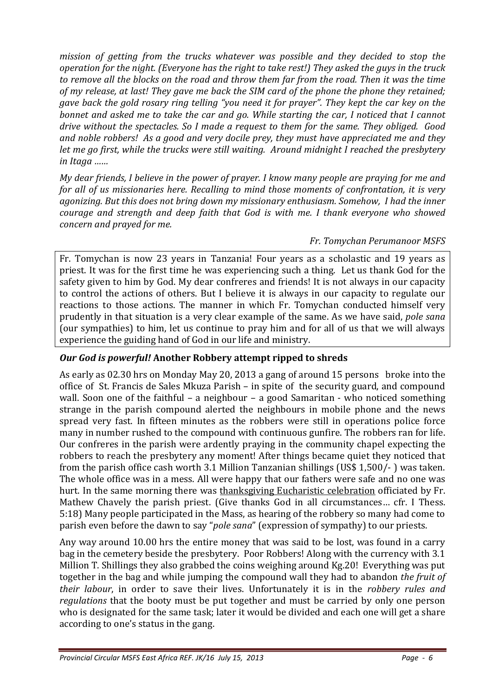*mission of getting from the trucks whatever was possible and they decided to stop the operation for the night. (Everyone has the right to take rest!) They asked the guys in the truck to remove all the blocks on the road and throw them far from the road. Then it was the time of my release, at last! They gave me back the SIM card of the phone the phone they retained; gave back the gold rosary ring telling "you need it for prayer". They kept the car key on the bonnet and asked me to take the car and go. While starting the car, I noticed that I cannot drive without the spectacles. So I made a request to them for the same. They obliged. Good and noble robbers! As a good and very docile prey, they must have appreciated me and they let me go first, while the trucks were still waiting. Around midnight I reached the presbytery in Itaga ……* 

*My dear friends, I believe in the power of prayer. I know many people are praying for me and for all of us missionaries here. Recalling to mind those moments of confrontation, it is very agonizing. But this does not bring down my missionary enthusiasm. Somehow, I had the inner courage and strength and deep faith that God is with me. I thank everyone who showed concern and prayed for me.* 

## *Fr. Tomychan Perumanoor MSFS*

Fr. Tomychan is now 23 years in Tanzania! Four years as a scholastic and 19 years as priest. It was for the first time he was experiencing such a thing. Let us thank God for the safety given to him by God. My dear confreres and friends! It is not always in our capacity to control the actions of others. But I believe it is always in our capacity to regulate our reactions to those actions. The manner in which Fr. Tomychan conducted himself very prudently in that situation is a very clear example of the same. As we have said, *pole sana* (our sympathies) to him, let us continue to pray him and for all of us that we will always experience the guiding hand of God in our life and ministry.

## *Our God is powerful!* **Another Robbery attempt ripped to shreds**

As early as 02.30 hrs on Monday May 20, 2013 a gang of around 15 persons broke into the office of St. Francis de Sales Mkuza Parish – in spite of the security guard, and compound wall. Soon one of the faithful – a neighbour – a good Samaritan - who noticed something strange in the parish compound alerted the neighbours in mobile phone and the news spread very fast. In fifteen minutes as the robbers were still in operations police force many in number rushed to the compound with continuous gunfire. The robbers ran for life. Our confreres in the parish were ardently praying in the community chapel expecting the robbers to reach the presbytery any moment! After things became quiet they noticed that from the parish office cash worth 3.1 Million Tanzanian shillings (US\$ 1,500/- ) was taken. The whole office was in a mess. All were happy that our fathers were safe and no one was hurt. In the same morning there was thanksgiving Eucharistic celebration officiated by Fr. Mathew Chavely the parish priest. (Give thanks God in all circumstances… cfr. I Thess. 5:18) Many people participated in the Mass, as hearing of the robbery so many had come to parish even before the dawn to say "*pole sana*" (expression of sympathy) to our priests.

Any way around 10.00 hrs the entire money that was said to be lost, was found in a carry bag in the cemetery beside the presbytery. Poor Robbers! Along with the currency with 3.1 Million T. Shillings they also grabbed the coins weighing around Kg.20! Everything was put together in the bag and while jumping the compound wall they had to abandon *the fruit of their labour*, in order to save their lives. Unfortunately it is in the *robbery rules and regulations* that the booty must be put together and must be carried by only one person who is designated for the same task; later it would be divided and each one will get a share according to one's status in the gang.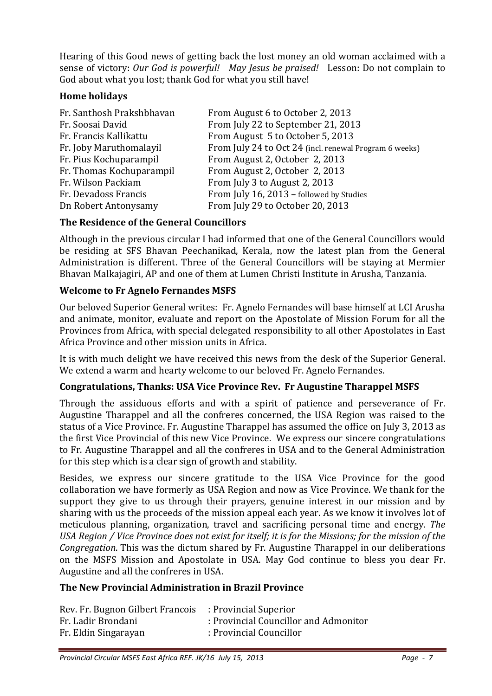Hearing of this Good news of getting back the lost money an old woman acclaimed with a sense of victory: *Our God is powerful! May Jesus be praised!* Lesson: Do not complain to God about what you lost; thank God for what you still have!

## **Home holidays**

| Fr. Santhosh Prakshbhavan | From August 6 to October 2, 2013                       |
|---------------------------|--------------------------------------------------------|
| Fr. Soosai David          | From July 22 to September 21, 2013                     |
| Fr. Francis Kallikattu    | From August 5 to October 5, 2013                       |
| Fr. Joby Maruthomalayil   | From July 24 to Oct 24 (incl. renewal Program 6 weeks) |
| Fr. Pius Kochuparampil    | From August 2, October 2, 2013                         |
| Fr. Thomas Kochuparampil  | From August 2, October 2, 2013                         |
| Fr. Wilson Packiam        | From July 3 to August 2, 2013                          |
| Fr. Devadoss Francis      | From July 16, 2013 - followed by Studies               |
| Dn Robert Antonysamy      | From July 29 to October 20, 2013                       |

## **The Residence of the General Councillors**

Although in the previous circular I had informed that one of the General Councillors would be residing at SFS Bhavan Peechanikad, Kerala, now the latest plan from the General Administration is different. Three of the General Councillors will be staying at Mermier Bhavan Malkajagiri, AP and one of them at Lumen Christi Institute in Arusha, Tanzania.

## **Welcome to Fr Agnelo Fernandes MSFS**

Our beloved Superior General writes: Fr. Agnelo Fernandes will base himself at LCI Arusha and animate, monitor, evaluate and report on the Apostolate of Mission Forum for all the Provinces from Africa, with special delegated responsibility to all other Apostolates in East Africa Province and other mission units in Africa.

It is with much delight we have received this news from the desk of the Superior General. We extend a warm and hearty welcome to our beloved Fr. Agnelo Fernandes.

#### **Congratulations, Thanks: USA Vice Province Rev. Fr Augustine Tharappel MSFS**

Through the assiduous efforts and with a spirit of patience and perseverance of Fr. Augustine Tharappel and all the confreres concerned, the USA Region was raised to the status of a Vice Province. Fr. Augustine Tharappel has assumed the office on July 3, 2013 as the first Vice Provincial of this new Vice Province. We express our sincere congratulations to Fr. Augustine Tharappel and all the confreres in USA and to the General Administration for this step which is a clear sign of growth and stability.

Besides, we express our sincere gratitude to the USA Vice Province for the good collaboration we have formerly as USA Region and now as Vice Province. We thank for the support they give to us through their prayers, genuine interest in our mission and by sharing with us the proceeds of the mission appeal each year. As we know it involves lot of meticulous planning, organization, travel and sacrificing personal time and energy. *The USA Region / Vice Province does not exist for itself; it is for the Missions; for the mission of the Congregation*. This was the dictum shared by Fr. Augustine Tharappel in our deliberations on the MSFS Mission and Apostolate in USA. May God continue to bless you dear Fr. Augustine and all the confreres in USA.

#### **The New Provincial Administration in Brazil Province**

| Rev. Fr. Bugnon Gilbert Francois : Provincial Superior |                                       |
|--------------------------------------------------------|---------------------------------------|
| Fr. Ladir Brondani                                     | : Provincial Councillor and Admonitor |
| Fr. Eldin Singarayan                                   | : Provincial Councillor               |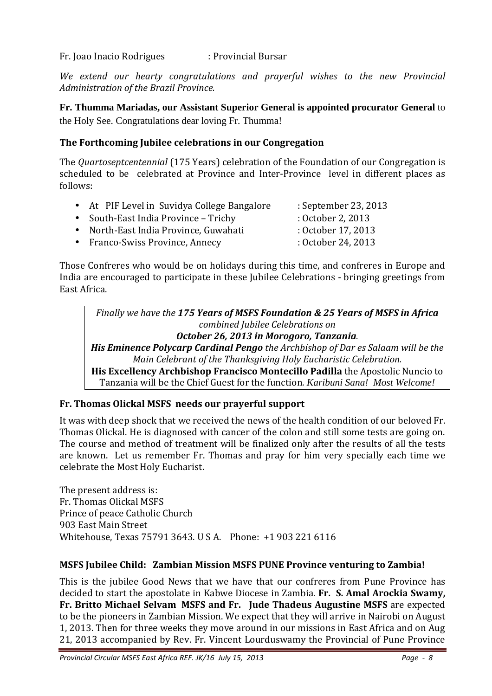Fr. Joao Inacio Rodrigues : Provincial Bursar

*We extend our hearty congratulations and prayerful wishes to the new Provincial Administration of the Brazil Province.* 

**Fr. Thumma Mariadas, our Assistant Superior General is appointed procurator General** to the Holy See. Congratulations dear loving Fr. Thumma!

## **The Forthcoming Jubilee celebrations in our Congregation**

The *Quartoseptcentennial* (175 Years) celebration of the Foundation of our Congregation is scheduled to be celebrated at Province and Inter-Province level in different places as follows:

| • At PIF Level in Suvidya College Bangalore | : September 23, 2013 |
|---------------------------------------------|----------------------|
| • South-East India Province - Trichy        | : October 2, 2013    |
| • North-East India Province, Guwahati       | : October 17, 2013   |
| • Franco-Swiss Province, Annecy             | : October 24, 2013   |

Those Confreres who would be on holidays during this time, and confreres in Europe and India are encouraged to participate in these Jubilee Celebrations - bringing greetings from East Africa.

*Finally we have the 175 Years of MSFS Foundation & 25 Years of MSFS in Africa combined Jubilee Celebrations on October 26, 2013 in Morogoro, Tanzania. His Eminence Polycarp Cardinal Pengo the Archbishop of Dar es Salaam will be the* 

*Main Celebrant of the Thanksgiving Holy Eucharistic Celebration.* 

**His Excellency Archbishop Francisco Montecillo Padilla** the Apostolic Nuncio to Tanzania will be the Chief Guest for the function*. Karibuni Sana! Most Welcome!* 

#### **Fr. Thomas Olickal MSFS needs our prayerful support**

It was with deep shock that we received the news of the health condition of our beloved Fr. Thomas Olickal. He is diagnosed with cancer of the colon and still some tests are going on. The course and method of treatment will be finalized only after the results of all the tests are known. Let us remember Fr. Thomas and pray for him very specially each time we celebrate the Most Holy Eucharist.

The present address is: Fr. Thomas Olickal MSFS Prince of peace Catholic Church 903 East Main Street Whitehouse, Texas 75791 3643. U S A. Phone: +1 903 221 6116

#### **MSFS Jubilee Child: Zambian Mission MSFS PUNE Province venturing to Zambia!**

This is the jubilee Good News that we have that our confreres from Pune Province has decided to start the apostolate in Kabwe Diocese in Zambia. **Fr. S. Amal Arockia Swamy, Fr. Britto Michael Selvam MSFS and Fr. Jude Thadeus Augustine MSFS** are expected to be the pioneers in Zambian Mission. We expect that they will arrive in Nairobi on August 1, 2013. Then for three weeks they move around in our missions in East Africa and on Aug 21, 2013 accompanied by Rev. Fr. Vincent Lourduswamy the Provincial of Pune Province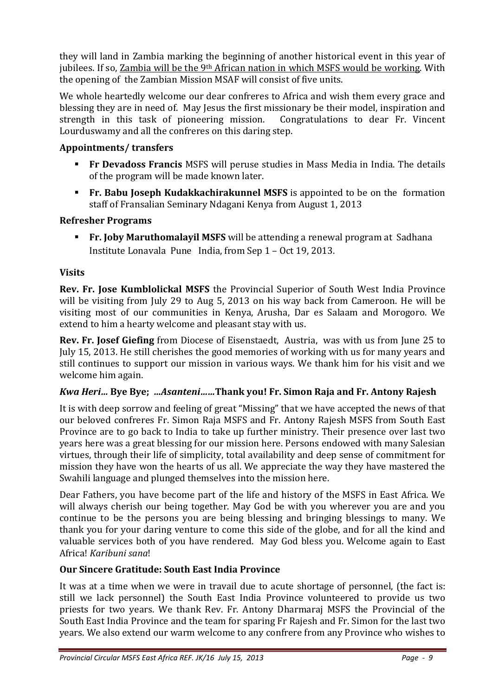they will land in Zambia marking the beginning of another historical event in this year of jubilees. If so, Zambia will be the 9<sup>th</sup> African nation in which MSFS would be working. With the opening of the Zambian Mission MSAF will consist of five units.

We whole heartedly welcome our dear confreres to Africa and wish them every grace and blessing they are in need of. May Jesus the first missionary be their model, inspiration and strength in this task of pioneering mission. Congratulations to dear Fr. Vincent Lourduswamy and all the confreres on this daring step.

# **Appointments/ transfers**

- **Fr Devadoss Francis** MSFS will peruse studies in Mass Media in India. The details of the program will be made known later.
- **Fr. Babu Joseph Kudakkachirakunnel MSFS** is appointed to be on the formation staff of Fransalian Seminary Ndagani Kenya from August 1, 2013

# **Refresher Programs**

 **Fr. Joby Maruthomalayil MSFS** will be attending a renewal program at Sadhana Institute Lonavala Pune India, from Sep 1 – Oct 19, 2013.

# **Visits**

**Rev. Fr. Jose Kumblolickal MSFS** the Provincial Superior of South West India Province will be visiting from July 29 to Aug 5, 2013 on his way back from Cameroon. He will be visiting most of our communities in Kenya, Arusha, Dar es Salaam and Morogoro. We extend to him a hearty welcome and pleasant stay with us.

**Rev. Fr. Josef Giefing** from Diocese of Eisenstaedt, Austria, was with us from June 25 to July 15, 2013. He still cherishes the good memories of working with us for many years and still continues to support our mission in various ways. We thank him for his visit and we welcome him again.

## *Kwa Heri…* **Bye Bye;** *…Asanteni……***Thank you! Fr. Simon Raja and Fr. Antony Rajesh**

It is with deep sorrow and feeling of great "Missing" that we have accepted the news of that our beloved confreres Fr. Simon Raja MSFS and Fr. Antony Rajesh MSFS from South East Province are to go back to India to take up further ministry. Their presence over last two years here was a great blessing for our mission here. Persons endowed with many Salesian virtues, through their life of simplicity, total availability and deep sense of commitment for mission they have won the hearts of us all. We appreciate the way they have mastered the Swahili language and plunged themselves into the mission here.

Dear Fathers, you have become part of the life and history of the MSFS in East Africa. We will always cherish our being together. May God be with you wherever you are and you continue to be the persons you are being blessing and bringing blessings to many. We thank you for your daring venture to come this side of the globe, and for all the kind and valuable services both of you have rendered. May God bless you. Welcome again to East Africa! *Karibuni sana*!

## **Our Sincere Gratitude: South East India Province**

It was at a time when we were in travail due to acute shortage of personnel, (the fact is: still we lack personnel) the South East India Province volunteered to provide us two priests for two years. We thank Rev. Fr. Antony Dharmaraj MSFS the Provincial of the South East India Province and the team for sparing Fr Rajesh and Fr. Simon for the last two years. We also extend our warm welcome to any confrere from any Province who wishes to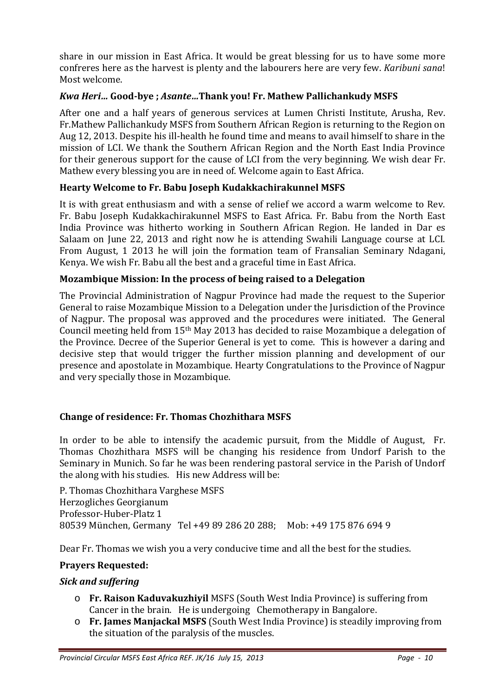share in our mission in East Africa. It would be great blessing for us to have some more confreres here as the harvest is plenty and the labourers here are very few. *Karibuni sana*! Most welcome.

## *Kwa Heri…* **Good-bye ;** *Asante…***Thank you! Fr. Mathew Pallichankudy MSFS**

After one and a half years of generous services at Lumen Christi Institute, Arusha, Rev. Fr.Mathew Pallichankudy MSFS from Southern African Region is returning to the Region on Aug 12, 2013. Despite his ill-health he found time and means to avail himself to share in the mission of LCI. We thank the Southern African Region and the North East India Province for their generous support for the cause of LCI from the very beginning. We wish dear Fr. Mathew every blessing you are in need of. Welcome again to East Africa.

## **Hearty Welcome to Fr. Babu Joseph Kudakkachirakunnel MSFS**

It is with great enthusiasm and with a sense of relief we accord a warm welcome to Rev. Fr. Babu Joseph Kudakkachirakunnel MSFS to East Africa. Fr. Babu from the North East India Province was hitherto working in Southern African Region. He landed in Dar es Salaam on June 22, 2013 and right now he is attending Swahili Language course at LCI. From August, 1 2013 he will join the formation team of Fransalian Seminary Ndagani, Kenya. We wish Fr. Babu all the best and a graceful time in East Africa.

## **Mozambique Mission: In the process of being raised to a Delegation**

The Provincial Administration of Nagpur Province had made the request to the Superior General to raise Mozambique Mission to a Delegation under the Jurisdiction of the Province of Nagpur. The proposal was approved and the procedures were initiated. The General Council meeting held from 15th May 2013 has decided to raise Mozambique a delegation of the Province. Decree of the Superior General is yet to come. This is however a daring and decisive step that would trigger the further mission planning and development of our presence and apostolate in Mozambique. Hearty Congratulations to the Province of Nagpur and very specially those in Mozambique.

## **Change of residence: Fr. Thomas Chozhithara MSFS**

In order to be able to intensify the academic pursuit, from the Middle of August, Fr. Thomas Chozhithara MSFS will be changing his residence from Undorf Parish to the Seminary in Munich. So far he was been rendering pastoral service in the Parish of Undorf the along with his studies. His new Address will be:

P. Thomas Chozhithara Varghese MSFS Herzogliches Georgianum Professor-Huber-Platz 1 80539 München, Germany Tel +49 89 286 20 288; Mob: +49 175 876 694 9

Dear Fr. Thomas we wish you a very conducive time and all the best for the studies.

#### **Prayers Requested:**

#### *Sick and suffering*

- o **Fr. Raison Kaduvakuzhiyil** MSFS (South West India Province) is suffering from Cancer in the brain. He is undergoing Chemotherapy in Bangalore.
- o **Fr. James Manjackal MSFS** (South West India Province) is steadily improving from the situation of the paralysis of the muscles.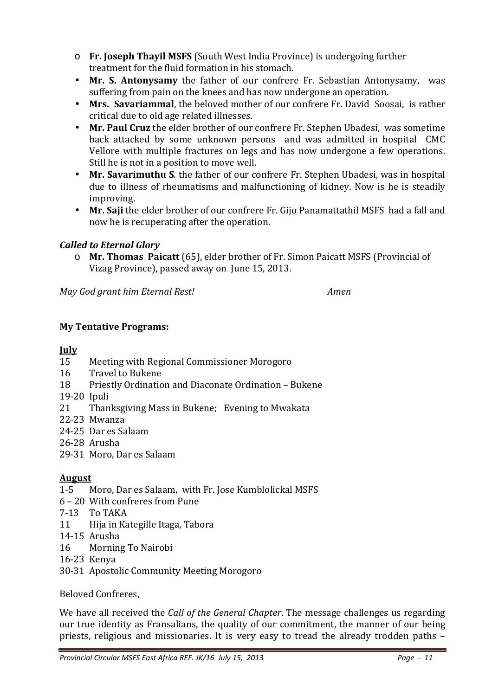- o **Fr. Joseph Thayil MSFS** (South West India Province) is undergoing further treatment for the fluid formation in his stomach.
- **Mr. S. Antonysamy** the father of our confrere Fr. Sebastian Antonysamy, was suffering from pain on the knees and has now undergone an operation.
- **Mrs. Savariammal**, the beloved mother of our confrere Fr. David Soosai, is rather critical due to old age related illnesses.
- **Mr. Paul Cruz** the elder brother of our confrere Fr. Stephen Ubadesi, was sometime back attacked by some unknown persons and was admitted in hospital CMC Vellore with multiple fractures on legs and has now undergone a few operations. Still he is not in a position to move well.
- **Mr. Savarimuthu S**. the father of our confrere Fr. Stephen Ubadesi, was in hospital due to illness of rheumatisms and malfunctioning of kidney. Now is he is steadily improving.
- **Mr. Saji** the elder brother of our confrere Fr. Gijo Panamattathil MSFS had a fall and now he is recuperating after the operation.

## *Called to Eternal Glory*

o **Mr. Thomas Paicatt** (65), elder brother of Fr. Simon Paicatt MSFS (Provincial of Vizag Province), passed away on June 15, 2013.

*May God grant him Eternal Rest! Amen* 

# **My Tentative Programs:**

## **July**

- 15 Meeting with Regional Commissioner Morogoro
- 16 Travel to Bukene
- 18 Priestly Ordination and Diaconate Ordination Bukene
- 19-20 Ipuli
- 21 Thanksgiving Mass in Bukene; Evening to Mwakata
- 22-23 Mwanza
- 24-25 Dar es Salaam
- 26-28 Arusha
- 29-31 Moro, Dar es Salaam

# **August**

- 1-5 Moro, Dar es Salaam, with Fr. Jose Kumblolickal MSFS
- 6 20 With confreres from Pune
- 7-13 To TAKA
- 11 Hija in Kategille Itaga, Tabora
- 14-15 Arusha
- 16 Morning To Nairobi
- 16-23 Kenya
- 30-31 Apostolic Community Meeting Morogoro

Beloved Confreres,

We have all received the *Call of the General Chapter*. The message challenges us regarding our true identity as Fransalians, the quality of our commitment, the manner of our being priests, religious and missionaries. It is very easy to tread the already trodden paths –